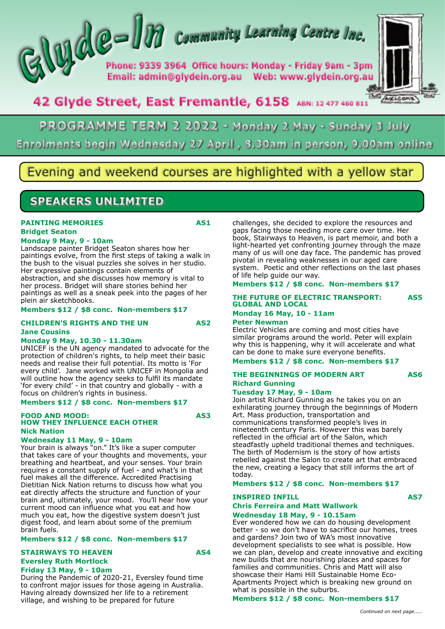# $\left\{\bigcup_{P \text{home: } 9339} \bigcap_{3964}$  Community Learning Centre Inc.

Phone: 9339 3964 Office hours: Monday - Friday 9am - 3pm 



# 42 Glyde Street, East Fremantle, 6158 ABN: 12 477 460 811

# PROGRAMME TERM 2 2022 - Monday 2 May - Sunday 3 July Enrolments begin Wednesday 27 April, 8.30am in person, 9.00am online

# vening and weekend courses are highlighted with a yellow star

# **SPEAKERS UNLIMITED**

#### **PAINTING MEMORIES** AS1 **Bridget Seaton**

## **Monday 9 May, 9 - 10am**

Landscape painter Bridget Seaton shares how her paintings evolve, from the first steps of taking a walk in the bush to the visual puzzles she solves in her studio. Her expressive paintings contain elements of abstraction, and she discusses how memory is vital to her process. Bridget will share stories behind her paintings as well as a sneak peek into the pages of her plein air sketchbooks.

#### **Members \$12 / \$8 conc. Non-members \$17**

#### **CHILDREN'S RIGHTS AND THE UN AS2 Jane Cousins**

#### **Monday 9 May, 10.30 - 11.30am**

UNICEF is the UN agency mandated to advocate for the protection of children's rights, to help meet their basic needs and realise their full potential. Its motto is 'For every child'. Jane worked with UNICEF in Mongolia and will outline how the agency seeks to fulfil its mandate 'for every child' - in that country and globally - with a focus on children's rights in business.

#### **Members \$12 / \$8 conc. Non-members \$17**

#### **FOOD AND MOOD: AS3 HOW THEY INFLUENCE EACH OTHER Nick Nation**

#### **Wednesday 11 May, 9 - 10am**

Your brain is always "on." It's like a super computer that takes care of your thoughts and movements, your breathing and heartbeat, and your senses. Your brain requires a constant supply of fuel - and what's in that fuel makes all the difference. Accredited Practising Dietitian Nick Nation returns to discuss how what you eat directly affects the structure and function of your brain and, ultimately, your mood. You'll hear how your current mood can influence what you eat and how much you eat, how the digestive system doesn't just digest food, and learn about some of the premium brain fuels.

#### **Members \$12 / \$8 conc. Non-members \$17**

## **STAIRWAYS TO HEAVEN AS4 Eversley Ruth Mortlock**

**Friday 13 May, 9 - 10am**

During the Pandemic of 2020-21, Eversley found time to confront major issues for those ageing in Australia. Having already downsized her life to a retirement village, and wishing to be prepared for future

challenges, she decided to explore the resources and gaps facing those needing more care over time. Her book, Stairways to Heaven, is part memoir, and both a light-hearted yet confronting journey through the maze many of us will one day face. The pandemic has proved pivotal in revealing weaknesses in our aged care system. Poetic and other reflections on the last phases of life help guide our way.

#### **Members \$12 / \$8 conc. Non-members \$17**

## **THE FUTURE OF ELECTRIC TRANSPORT: AS5 GLOBAL AND LOCAL**

## **Monday 16 May, 10 - 11am**

### **Peter Newman**

Electric Vehicles are coming and most cities have similar programs around the world. Peter will explain why this is happening, why it will accelerate and what can be done to make sure everyone benefits.

#### **Members \$12 / \$8 conc. Non-members \$17**

## **THE BEGINNINGS OF MODERN ART AS6 Richard Gunning**

#### **Tuesday 17 May, 9 - 10am**

Join artist Richard Gunning as he takes you on an exhilarating journey through the beginnings of Modern Art. Mass production, transportation and communications transformed people's lives in nineteenth century Paris. However this was barely reflected in the official art of the Salon, which steadfastly upheld traditional themes and techniques. The birth of Modernism is the story of how artists rebelled against the Salon to create art that embraced the new, creating a legacy that still informs the art of today.

**Members \$12 / \$8 conc. Non-members \$17**

## **INSPIRED INFILL AS7**

# **Chris Ferreira and Matt Wallwork**

**Wednesday 18 May, 9 - 10.15am**

Ever wondered how we can do housing development better - so we don't have to sacrifice our homes, trees and gardens? Join two of WA's most innovative development specialists to see what is possible. How we can plan, develop and create innovative and exciting new builds that are nourishing places and spaces for families and communities. Chris and Matt will also showcase their Hami Hill Sustainable Home Eco-Apartments Project which is breaking new ground on what is possible in the suburbs.

## **Members \$12 / \$8 conc. Non-members \$17**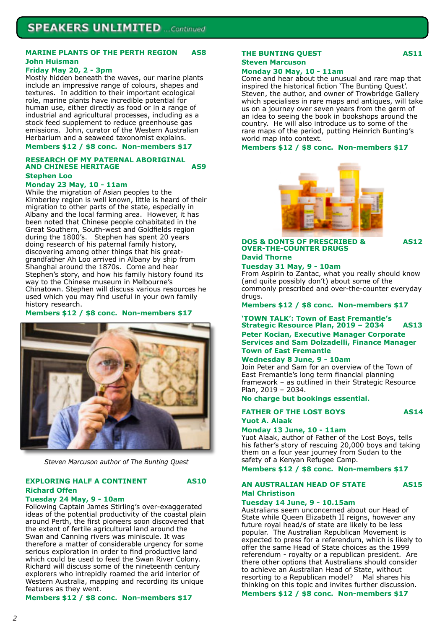#### **MARINE PLANTS OF THE PERTH REGION AS8 John Huisman**

#### **Friday May 20, 2 - 3pm**

Mostly hidden beneath the waves, our marine plants include an impressive range of colours, shapes and textures. In addition to their important ecological role, marine plants have incredible potential for human use, either directly as food or in a range of industrial and agricultural processes, including as a stock feed supplement to reduce greenhouse gas emissions. John, curator of the Western Australian Herbarium and a seaweed taxonomist explains.

#### **Members \$12 / \$8 conc. Non-members \$17**

#### **RESEARCH OF MY PATERNAL ABORIGINAL AND CHINESE HERITAGE AS9 Stephen Loo**

#### **Monday 23 May, 10 - 11am**

While the migration of Asian peoples to the Kimberley region is well known, little is heard of their migration to other parts of the state, especially in Albany and the local farming area. However, it has been noted that Chinese people cohabitated in the Great Southern, South-west and Goldfields region during the 1800's. Stephen has spent 20 years doing research of his paternal family history, discovering among other things that his greatgrandfather Ah Loo arrived in Albany by ship from Shanghai around the 1870s. Come and hear Stephen's story, and how his family history found its way to the Chinese museum in Melbourne's Chinatown. Stephen will discuss various resources he used which you may find useful in your own family history research.

#### **Members \$12 / \$8 conc. Non-members \$17**



*Steven Marcuson author of The Bunting Quest*

#### **EXPLORING HALF A CONTINENT AS10 Richard Offen**

## **Tuesday 24 May, 9 - 10am**

Following Captain James Stirling's over-exaggerated ideas of the potential productivity of the coastal plain around Perth, the first pioneers soon discovered that the extent of fertile agricultural land around the Swan and Canning rivers was miniscule. It was therefore a matter of considerable urgency for some serious exploration in order to find productive land which could be used to feed the Swan River Colony. Richard will discuss some of the nineteenth century explorers who intrepidly roamed the arid interior of Western Australia, mapping and recording its unique features as they went.

#### **Members \$12 / \$8 conc. Non-members \$17**

## **THE BUNTING QUEST AS11**

# **Steven Marcuson**

#### **Monday 30 May, 10 - 11am**

Come and hear about the unusual and rare map that inspired the historical fiction 'The Bunting Quest'. Steven, the author, and owner of Trowbridge Gallery which specialises in rare maps and antiques, will take us on a journey over seven years from the germ of an idea to seeing the book in bookshops around the country. He will also introduce us to some of the rare maps of the period, putting Heinrich Bunting's world map into context.

#### **Members \$12 / \$8 conc. Non-members \$17**



#### **DOS & DONTS OF PRESCRIBED & AS12 OVER-THE-COUNTER DRUGS David Thorne**

#### **Tuesday 31 May, 9 - 10am**

From Aspirin to Zantac, what you really should know (and quite possibly don't) about some of the commonly prescribed and over-the-counter everyday drugs.

**Members \$12 / \$8 conc. Non-members \$17**

#### **'TOWN TALK': Town of East Fremantle's Strategic Resource Plan, 2019 – 2034 AS13 Peter Kocian, Executive Manager Corporate Services and Sam Dolzadelli, Finance Manager Town of East Fremantle**

#### **Wednesday 8 June, 9 - 10am**

Join Peter and Sam for an overview of the Town of East Fremantle's long term financial planning framework – as outlined in their Strategic Resource Plan, 2019 – 2034.

**No charge but bookings essential.**

# **FATHER OF THE LOST BOYS AS14**

## **Yuot A. Alaak**

**Monday 13 June, 10 - 11am**

Yuot Alaak, author of Father of the Lost Boys, tells his father's story of rescuing 20,000 boys and taking them on a four year journey from Sudan to the safety of a Kenyan Refugee Camp.

**Members \$12 / \$8 conc. Non-members \$17**

#### **AN AUSTRALIAN HEAD OF STATE AS15 Mal Christison**

#### **Tuesday 14 June, 9 - 10.15am**

Australians seem unconcerned about our Head of State while Queen Elizabeth II reigns, however any future royal head/s of state are likely to be less popular. The Australian Republican Movement is expected to press for a referendum, which is likely to offer the same Head of State choices as the 1999 referendum - royalty or a republican president. Are there other options that Australians should consider to achieve an Australian Head of State, without resorting to a Republican model? Mal shares his thinking on this topic and invites further discussion.

**Members \$12 / \$8 conc. Non-members \$17**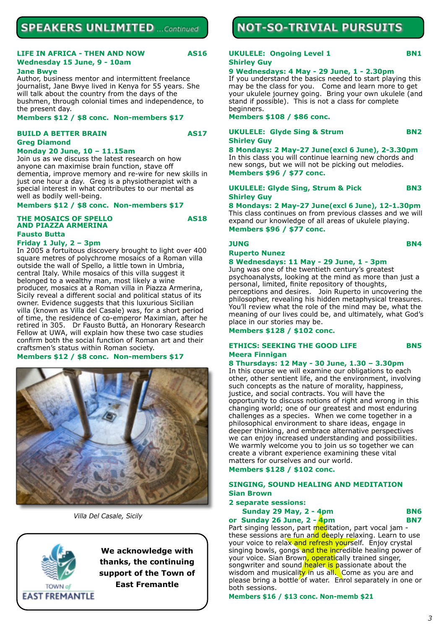# **SPEAKERS UNLIMITED** ... Continued

#### **LIFE IN AFRICA - THEN AND NOW AS16 Wednesday 15 June, 9 - 10am**

#### **Jane Bwye**

Author, business mentor and intermittent freelance journalist, Jane Bwye lived in Kenya for 55 years. She will talk about the country from the days of the bushmen, through colonial times and independence, to the present day.

#### **Members \$12 / \$8 conc. Non-members \$17**

#### **BUILD A BETTER BRAIN AS17 Greg Diamond**

#### **Monday 20 June, 10 – 11.15am**

Join us as we discuss the latest research on how anyone can maximise brain function, stave off dementia, improve memory and re-wire for new skills in just one hour a day. Greg is a physiotherapist with a special interest in what contributes to our mental as well as bodily well-being.

#### **Members \$12 / \$8 conc. Non-members \$17**

#### **THE MOSAICS OF SPELLO AS18 AND PIAZZA ARMERINA Fausto Butta**

#### **Friday 1 July, 2 – 3pm**

In 2005 a fortuitous discovery brought to light over 400 square metres of polychrome mosaics of a Roman villa outside the wall of Spello, a little town in Umbria, central Italy. While mosaics of this villa suggest it belonged to a wealthy man, most likely a wine producer, mosaics at a Roman villa in Piazza Armerina, Sicily reveal a different social and political status of its owner. Evidence suggests that this luxurious Sicilian villa (known as Villa del Casale) was, for a short period of time, the residence of co-emperor Maximian, after he retired in 305. Dr Fausto Buttà, an Honorary Research Fellow at UWA, will explain how these two case studies confirm both the social function of Roman art and their craftsmen's status within Roman society.

#### **Members \$12 / \$8 conc. Non-members \$17**



*Villa Del Casale, Sicily*

TOWN of **EAST FREMANTLE** 

**We acknowledge with thanks, the continuing support of the Town of East Fremantle**

# **NOT-SO-TRIVIAL PURSUITS**

### **UKULELE: Ongoing Level 1 BN1 Shirley Guy**

#### **9 Wednesdays: 4 May - 29 June, 1 - 2.30pm**

If you understand the basics needed to start playing this may be the class for you. Come and learn more to get your ukulele journey going. Bring your own ukulele (and stand if possible). This is not a class for complete beginners.

**Members \$108 / \$86 conc.**

#### **UKULELE: Glyde Sing & Strum BN2 Shirley Guy**

**8 Mondays: 2 May-27 June(excl 6 June), 2-3.30pm** In this class you will continue learning new chords and new songs, but we will not be picking out melodies. **Members \$96 / \$77 conc.**

#### **UKULELE: Glyde Sing, Strum & Pick BN3 Shirley Guy**

**8 Mondays: 2 May-27 June(excl 6 June), 12-1.30pm** This class continues on from previous classes and we will expand our knowledge of all areas of ukulele playing. **Members \$96 / \$77 conc.**

#### **JUNG BN4**

#### **Ruperto Nunez**

#### **8 Wednesdays: 11 May - 29 June, 1 - 3pm**

Jung was one of the twentieth century's greatest psychoanalysts, looking at the mind as more than just a personal, limited, finite repository of thoughts, perceptions and desires. Join Ruperto in uncovering the philosopher, revealing his hidden metaphysical treasures. You'll review what the role of the mind may be, what the meaning of our lives could be, and ultimately, what God's place in our stories may be.

**Members \$128 / \$102 conc.**

#### **ETHICS: SEEKING THE GOOD LIFE BN5 Meera Finnigan**

## **8 Thursdays: 12 May - 30 June, 1.30 – 3.30pm**

In this course we will examine our obligations to each other, other sentient life, and the environment, involving such concepts as the nature of morality, happiness, justice, and social contracts. You will have the opportunity to discuss notions of right and wrong in this changing world; one of our greatest and most enduring challenges as a species. When we come together in a philosophical environment to share ideas, engage in deeper thinking, and embrace alternative perspectives we can enjoy increased understanding and possibilities. We warmly welcome you to join us so together we can create a vibrant experience examining these vital matters for ourselves and our world.

**Members \$128 / \$102 conc.**

#### **SINGING, SOUND HEALING AND MEDITATION Sian Brown**

#### **2 separate sessions:**

|  | <b>Sunday 29 May, 2 - 4pm</b> | <b>BN6</b> |
|--|-------------------------------|------------|
|  |                               |            |

**or Sunday 26 June, 2 - 4pm BN7** Part singing lesson, part meditation, part vocal jam these sessions are fun and deeply relaxing. Learn to use your voice to relax and refresh yourself. Enjoy crystal singing bowls, gongs and the incredible healing power of your voice. Sian Brown, operatically trained singer, songwriter and sound healer is passionate about the wisdom and musicality in us all. Come as you are and please bring a bottle of water. Enrol separately in one or both sessions.

**Members \$16 / \$13 conc. Non-memb \$21**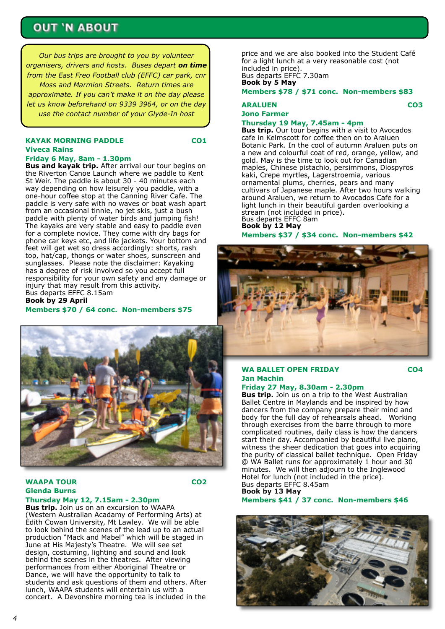# **OUT 'N ABOUT**

*Our bus trips are brought to you by volunteer organisers, drivers and hosts. Buses depart on time from the East Freo Football club (EFFC) car park, cnr Moss and Marmion Streets. Return times are approximate. If you can't make it on the day please let us know beforehand on 9339 3964, or on the day use the contact number of your Glyde-In host*

## **KAYAK MORNING PADDLE CO1 Viveca Rains**

# **Friday 6 May, 8am - 1.30pm**

**Bus and kayak trip.** After arrival our tour begins on the Riverton Canoe Launch where we paddle to Kent St Weir. The paddle is about 30 - 40 minutes each way depending on how leisurely you paddle, with a one-hour coffee stop at the Canning River Cafe. The paddle is very safe with no waves or boat wash apart from an occasional tinnie, no jet skis, just a bush paddle with plenty of water birds and jumping fish! The kayaks are very stable and easy to paddle even for a complete novice. They come with dry bags for phone car keys etc, and life jackets. Your bottom and feet will get wet so dress accordingly: shorts, rash top, hat/cap, thongs or water shoes, sunscreen and sunglasses. Please note the disclaimer: Kayaking has a degree of risk involved so you accept full responsibility for your own safety and any damage or injury that may result from this activity. Bus departs EFFC 8.15am

**Book by 29 April Members \$70 / 64 conc. Non-members \$75**



## **WAAPA TOUR CO2 Glenda Burns**

#### **Thursday May 12, 7.15am - 2.30pm Bus trip.** Join us on an excursion to WAAPA

(Western Australian Acadamy of Performing Arts) at Edith Cowan University, Mt Lawley. We will be able to look behind the scenes of the lead up to an actual production "Mack and Mabel" which will be staged in June at His Majesty's Theatre. We will see set design, costuming, lighting and sound and look behind the scenes in the theatres. After viewing performances from either Aboriginal Theatre or Dance, we will have the opportunity to talk to students and ask questions of them and others. After lunch, WAAPA students will entertain us with a concert. A Devonshire morning tea is included in the

price and we are also booked into the Student Café for a light lunch at a very reasonable cost (not included in price). Bus departs EFFC 7.30am **Book by 5 May**

**Members \$78 / \$71 conc. Non-members \$83**

## **ARALUEN CO3 Jono Farmer**

#### **Thursday 19 May, 7.45am - 4pm**

**Bus trip.** Our tour begins with a visit to Avocados cafe in Kelmscott for coffee then on to Araluen Botanic Park. In the cool of autumn Araluen puts on a new and colourful coat of red, orange, yellow, and gold. May is the time to look out for Canadian maples, Chinese pistachio, persimmons, Diospyros kaki, Crepe myrtles, Lagerstroemia, various ornamental plums, cherries, pears and many cultivars of Japanese maple. After two hours walking around Araluen, we return to Avocados Cafe for a light lunch in their beautiful garden overlooking a stream (not included in price). Bus departs EFFC 8am **Book by 12 May**

**Members \$37 / \$34 conc. Non-members \$42**



## **WA BALLET OPEN FRIDAY CO4 Jan Machin**

**Friday 27 May, 8.30am - 2.30pm**

**Bus trip.** Join us on a trip to the West Australian Ballet Centre in Maylands and be inspired by how dancers from the company prepare their mind and body for the full day of rehearsals ahead. Working through exercises from the barre through to more complicated routines, daily class is how the dancers start their day. Accompanied by beautiful live piano, witness the sheer dedication that goes into acquiring the purity of classical ballet technique. Open Friday @ WA Ballet runs for approximately 1 hour and 30 minutes. We will then adjourn to the Inglewood Hotel for lunch (not included in the price). Bus departs EFFC 8.45am **Book by 13 May**

**Members \$41 / 37 conc. Non-members \$46**

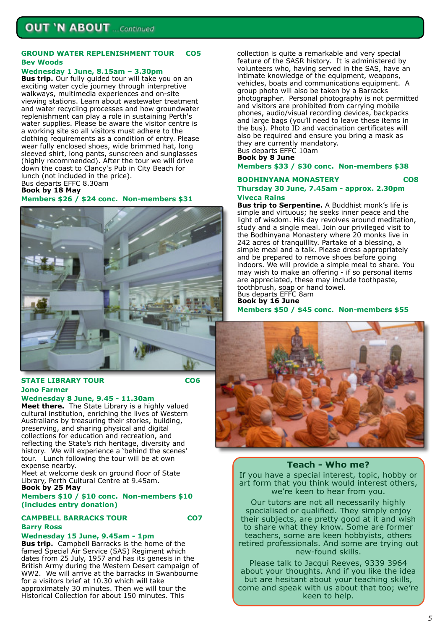#### **GROUND WATER REPLENISHMENT TOUR CO5 Bev Woods**

#### **Wednesday 1 June, 8.15am – 3.30pm**

**Bus trip.** Our fully guided tour will take you on an exciting water cycle journey through interpretive walkways, multimedia experiences and on-site viewing stations. Learn about wastewater treatment and water recycling processes and how groundwater replenishment can play a role in sustaining Perth's water supplies. Please be aware the visitor centre is a working site so all visitors must adhere to the clothing requirements as a condition of entry. Please wear fully enclosed shoes, wide brimmed hat, long sleeved shirt, long pants, sunscreen and sunglasses (highly recommended). After the tour we will drive down the coast to Clancy's Pub in City Beach for lunch (not included in the price). Bus departs EFFC 8.30am

**Book by 18 May**

**Members \$26 / \$24 conc. Non-members \$31**



#### **STATE LIBRARY TOUR CO6 Jono Farmer**

## **Wednesday 8 June, 9.45 - 11.30am**

**Meet there.** The State Library is a highly valued cultural institution, enriching the lives of Western Australians by treasuring their stories, building, preserving, and sharing physical and digital collections for education and recreation, and reflecting the State's rich heritage, diversity and history. We will experience a 'behind the scenes' tour. Lunch following the tour will be at own expense nearby.

Meet at welcome desk on ground floor of State Library, Perth Cultural Centre at 9.45am. **Book by 25 May**

#### **Members \$10 / \$10 conc. Non-members \$10 (includes entry donation)**

# **CAMPBELL BARRACKS TOUR CO7**

#### **Wednesday 15 June, 9.45am - 1pm**

**Barry Ross**

**Bus trip.** Campbell Barracks is the home of the famed Special Air Service (SAS) Regiment which dates from 25 July, 1957 and has its genesis in the British Army during the Western Desert campaign of WW2. We will arrive at the barracks in Swanbourne for a visitors brief at 10.30 which will take approximately 30 minutes. Then we will tour the Historical Collection for about 150 minutes. This

collection is quite a remarkable and very special feature of the SASR history. It is administered by volunteers who, having served in the SAS, have an intimate knowledge of the equipment, weapons, vehicles, boats and communications equipment. A group photo will also be taken by a Barracks photographer. Personal photography is not permitted and visitors are prohibited from carrying mobile phones, audio/visual recording devices, backpacks and large bags (you'll need to leave these items in the bus). Photo ID and vaccination certificates will also be required and ensure you bring a mask as they are currently mandatory. Bus departs EFFC 10am

**Book by 8 June**

**Members \$33 / \$30 conc. Non-members \$38**

#### **BODHINYANA MONASTERY CO8**

#### **Thursday 30 June, 7.45am - approx. 2.30pm Viveca Rains**

**Bus trip to Serpentine.** A Buddhist monk's life is simple and virtuous; he seeks inner peace and the light of wisdom. His day revolves around meditation, study and a single meal. Join our privileged visit to the Bodhinyana Monastery where 20 monks live in 242 acres of tranquillity. Partake of a blessing, a simple meal and a talk. Please dress appropriately and be prepared to remove shoes before going indoors. We will provide a simple meal to share. You may wish to make an offering - if so personal items are appreciated, these may include toothpaste, toothbrush, soap or hand towel. Bus departs EFFC 8am **Book by 16 June**

**Members \$50 / \$45 conc. Non-members \$55**



#### **Teach - Who me?**

If you have a special interest, topic, hobby or art form that you think would interest others, we're keen to hear from you.

Our tutors are not all necessarily highly specialised or qualified. They simply enjoy their subjects, are pretty good at it and wish to share what they know. Some are former teachers, some are keen hobbyists, others retired professionals. And some are trying out new-found skills.

Please talk to Jacqui Reeves, 9339 3964 about your thoughts. And if you like the idea but are hesitant about your teaching skills, come and speak with us about that too; we're keen to help.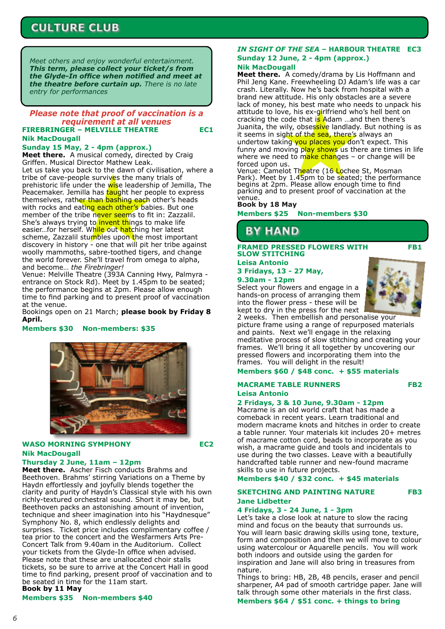# **CULTURE CLUB**

*Meet others and enjoy wonderful entertainment. This term, please collect your ticket/s from the Glyde-In office when notified and meet at the theatre before curtain up. There is no late entry for performances*

#### **FIREBRINGER – MELVILLE THEATRE EC1 Nik MacDougall** *Please note that proof of vaccination is a requirement at all venues*

## **Sunday 15 May, 2 - 4pm (approx.)**

**Meet there.** A musical comedy, directed by Craig Griffen. Musical Director Mathew Leak.

Let us take you back to the dawn of civilisation, where a tribe of cave-people survives the many trials of prehistoric life under the wise leadership of Jemilla, The Peacemaker. Jemilla has taught her people to express themselves, rather than bashing each other's heads with rocks and eating each other's babies. But one member of the tribe never seems to fit in: Zazzalil. She's always trying to *invent things to make life* easier...for herself. While out hatching her latest scheme, Zazzalil stumbles upon the most important discovery in history - one that will pit her tribe against woolly mammoths, sabre-toothed tigers, and change the world forever. She'll travel from omega to alpha, and become… *the Firebringer!*

Venue: Melville Theatre (393A Canning Hwy, Palmyra entrance on Stock Rd). Meet by 1.45pm to be seated; the performance begins at 2pm. Please allow enough time to find parking and to present proof of vaccination at the venue.

Bookings open on 21 March; **please book by Friday 8 April.**

#### **Members \$30 Non-members: \$35**



## **WASO MORNING SYMPHONY EC2 Nik MacDougall**

**Thursday 2 June, 11am – 12pm**

**Meet there.** Ascher Fisch conducts Brahms and Beethoven. Brahms' stirring Variations on a Theme by Haydn effortlessly and joyfully blends together the clarity and purity of Haydn's Classical style with his own richly-textured orchestral sound. Short it may be, but Beethoven packs an astonishing amount of invention, technique and sheer imagination into his "Haydnesque" Symphony No. 8, which endlessly delights and surprises. Ticket price includes complimentary coffee / tea prior to the concert and the Wesfarmers Arts Pre-Concert Talk from 9.40am in the Auditorium. Collect your tickets from the Glyde-In office when advised. Please note that these are unallocated choir stalls tickets, so be sure to arrive at the Concert Hall in good time to find parking, present proof of vaccination and to be seated in time for the 11am start. **Book by 11 May**

#### **Members \$35 Non-members \$40**

#### *IN SIGHT OF THE SEA* **– HARBOUR THEATRE EC3 Sunday 12 June, 2 - 4pm (approx.) Nik MacDougall**

**Meet there.** A comedy/drama by Lis Hoffmann and Phil Jeng Kane. Freewheeling DJ Adam's life was a car crash. Literally. Now he's back from hospital with a brand new attitude. His only obstacles are a severe lack of money, his best mate who needs to unpack his attitude to love, his ex-girlfriend who's hell bent on cracking the code that  $\overline{\mathbf{s}}$  Adam ...and then there's Juanita, the wily, obsessive landlady. But nothing is as it seems in sight of the sea, there's always an undertow taking you places you don't expect. This funny and moving play shows us there are times in life where we need to make changes – or change will be forced upon us.

Venue: Camelot Theatre (16 Lochee St, Mosman Park). Meet by 1.45pm to be seated; the performance begins at 2pm. Please allow enough time to find parking and to present proof of vaccination at the venue.

#### **Book by 18 May**

**Members \$25 Non-members \$30**

# **BY HAND**

**FRAMED PRESSED FLOWERS WITH FB1 SLOW STITCHING**

#### **Leisa Antonio 3 Fridays, 13 - 27 May, 9.30am - 12pm**

Select your flowers and engage in a hands-on process of arranging them into the flower press - these will be kept to dry in the press for the next



2 weeks. Then embellish and personalise your picture frame using a range of repurposed materials and paints. Next we'll engage in the relaxing meditative process of slow stitching and creating your frames. We'll bring it all together by uncovering our pressed flowers and incorporating them into the frames. You will delight in the result!

#### **Members \$60 / \$48 conc. + \$55 materials**

#### **MACRAME TABLE RUNNERS FB2 Leisa Antonio**

#### **2 Fridays, 3 & 10 June, 9.30am - 12pm**

Macrame is an old world craft that has made a comeback in recent years. Learn traditional and modern macrame knots and hitches in order to create a table runner. Your materials kit includes 20+ metres of macrame cotton cord, beads to incorporate as you wish, a macrame guide and tools and incidentals to use during the two classes. Leave with a beautifully handcrafted table runner and new-found macrame skills to use in future projects.

#### **Members \$40 / \$32 conc. + \$45 materials**

#### **SKETCHING AND PAINTING NATURE FB3 Jane Lidbetter**

#### **4 Fridays, 3 - 24 June, 1 - 3pm**

Let's take a close look at nature to slow the racing mind and focus on the beauty that surrounds us. You will learn basic drawing skills using tone, texture, form and composition and then we will move to colour using watercolour or Aquarelle pencils. You will work both indoors and outside using the garden for inspiration and Jane will also bring in treasures from nature.

Things to bring: HB, 2B, 4B pencils, eraser and pencil sharpener, A4 pad of smooth cartridge paper. Jane will talk through some other materials in the first class.

**Members \$64 / \$51 conc. + things to bring**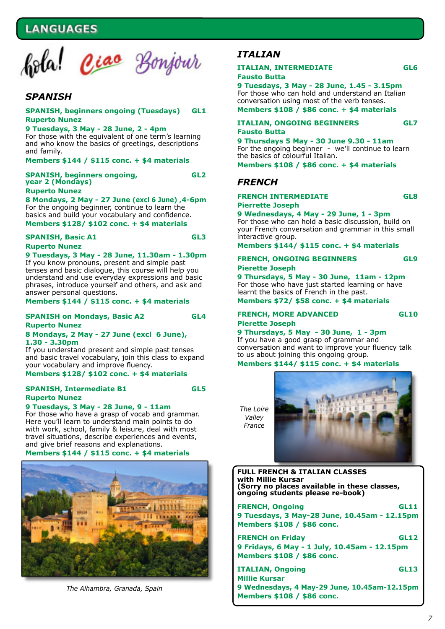# **NGUAGES**



## *SPANISH*

#### **SPANISH, beginners ongoing (Tuesdays) GL1 Ruperto Nunez**

#### **9 Tuesdays, 3 May - 28 June, 2 - 4pm**

For those with the equivalent of one term's learning and who know the basics of greetings, descriptions and family.

#### **Members \$144 / \$115 conc. + \$4 materials**

**SPANISH, beginners ongoing, GL2 year 2 (Mondays) Ruperto Nunez**

## **8 Mondays, 2 May - 27 June (excl 6 June) ,4-6pm** For the ongoing beginner, continue to learn the

basics and build your vocabulary and confidence. **Members \$128/ \$102 conc. + \$4 materials**

#### **SPANISH, Basic A1 GL3 Ruperto Nunez**

#### **9 Tuesdays, 3 May - 28 June, 11.30am - 1.30pm** If you know pronouns, present and simple past

tenses and basic dialogue, this course will help you understand and use everyday expressions and basic phrases, introduce yourself and others, and ask and answer personal questions.

**Members \$144 / \$115 conc. + \$4 materials**

#### **SPANISH on Mondays, Basic A2 GL4 Ruperto Nunez**

#### **8 Mondays, 2 May - 27 June (excl 6 June), 1.30 - 3.30pm**

If you understand present and simple past tenses and basic travel vocabulary, join this class to expand your vocabulary and improve fluency.

#### **Members \$128/ \$102 conc. + \$4 materials**

#### **SPANISH, Intermediate B1 GL5 Ruperto Nunez**

#### **9 Tuesdays, 3 May - 28 June, 9 - 11am**

For those who have a grasp of vocab and grammar. Here you'll learn to understand main points to do with work, school, family & leisure, deal with most travel situations, describe experiences and events, and give brief reasons and explanations.

#### **Members \$144 / \$115 conc. + \$4 materials**



*The Alhambra, Granada, Spain*

## *ITALIAN*

#### **ITALIAN, INTERMEDIATE GL6 Fausto Butta**

**9 Tuesdays, 3 May - 28 June, 1.45 - 3.15pm** For those who can hold and understand an Italian conversation using most of the verb tenses. **Members \$108 / \$86 conc. + \$4 materials**

# **ITALIAN, ONGOING BEGINNERS GL7**

**Fausto Butta**

#### **9 Thursdays 5 May - 30 June 9.30 - 11am** For the ongoing beginner - we'll continue to learn the basics of colourful Italian.

**Members \$108 / \$86 conc. + \$4 materials**

## *FRENCH*

#### **FRENCH INTERMEDIATE GL8 Pierrette Joseph**

**9 Wednesdays, 4 May - 29 June, 1 - 3pm** For those who can hold a basic discussion, build on your French conversation and grammar in this small interactive group.

**Members \$144/ \$115 conc. + \$4 materials**

#### **FRENCH, ONGOING BEGINNERS GL9 Pierette Joseph**

**9 Thursdays, 5 May - 30 June, 11am - 12pm** For those who have just started learning or have learnt the basics of French in the past.

**Members \$72/ \$58 conc. + \$4 materials**

#### **FRENCH, MORE ADVANCED GL10 Pierette Joseph**

**9 Thursdays, 5 May - 30 June, 1 - 3pm** If you have a good grasp of grammar and conversation and want to improve your fluency talk to us about joining this ongoing group.

#### **Members \$144/ \$115 conc. + \$4 materials**

*The Loire Valley France*



**FULL FRENCH & ITALIAN CLASSES with Millie Kursar (Sorry no places available in these classes, ongoing students please re-book)**

| <b>FRENCH, Ongoing</b>                       | <b>GL11</b> |
|----------------------------------------------|-------------|
| 9 Tuesdays, 3 May-28 June, 10.45am - 12.15pm |             |
| Members \$108 / \$86 conc.                   |             |
| <b>FRENCH on Friday</b>                      | <b>GL12</b> |
| 9 Fridays, 6 May - 1 July, 10.45am - 12.15pm |             |
| Members \$108 / \$86 conc.                   |             |
| <b>ITALIAN, Ongoing</b>                      | <b>GL13</b> |
| <b>Millie Kursar</b>                         |             |
| 9 Wednesdays, 4 May-29 June, 10.45am-12.15pm |             |
| Members \$108 / \$86 conc.                   |             |

*7*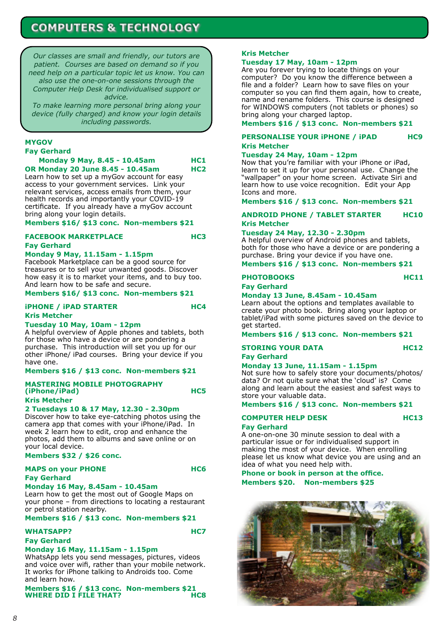# **COMPUTERS & TECHNOLOGY**

*Our classes are small and friendly, our tutors are patient. Courses are based on demand so if you need help on a particular topic let us know. You can also use the one-on-one sessions through the Computer Help Desk for individualised support or advice.*

*To make learning more personal bring along your device (fully charged) and know your login details including passwords.*

#### **MYGOV Fay Gerhard**

**Monday 9 May, 8.45 - 10.45am HC1 OR Monday 20 June 8.45 - 10.45am HC2**

Learn how to set up a myGov account for easy access to your government services. Link your relevant services, access emails from them, your health records and importantly your COVID-19 certificate. If you already have a myGov account bring along your login details.

#### **Members \$16/ \$13 conc. Non-members \$21**

#### **FACEBOOK MARKETPLACE HC3 Fay Gerhard**

## **Monday 9 May, 11.15am - 1.15pm**

Facebook Marketplace can be a good source for treasures or to sell your unwanted goods. Discover how easy it is to market your items, and to buy too. And learn how to be safe and secure.

#### **Members \$16/ \$13 conc. Non-members \$21**

## **iPHONE / iPAD STARTER HC4 Kris Metcher**

## **Tuesday 10 May, 10am - 12pm**

A helpful overview of Apple phones and tablets, both for those who have a device or are pondering a purchase. This introduction will set you up for our other iPhone/ iPad courses. Bring your device if you have one.

#### **Members \$16 / \$13 conc. Non-members \$21**

#### **MASTERING MOBILE PHOTOGRAPHY (iPhone/iPad) HC5 Kris Metcher**

**2 Tuesdays 10 & 17 May, 12.30 - 2.30pm**

Discover how to take eye-catching photos using the camera app that comes with your iPhone/iPad. In week 2 learn how to edit, crop and enhance the photos, add them to albums and save online or on your local device.

#### **Members \$32 / \$26 conc.**

#### MAPS on your PHONE **HC6 Fay Gerhard**

#### **Monday 16 May, 8.45am - 10.45am**

Learn how to get the most out of Google Maps on your phone – from directions to locating a restaurant or petrol station nearby.

#### **Members \$16 / \$13 conc. Non-members \$21**

## **WHATSAPP? HC7**

**Fay Gerhard**

#### **Monday 16 May, 11.15am - 1.15pm**

WhatsApp lets you send messages, pictures, videos and voice over wifi, rather than your mobile network. It works for iPhone talking to Androids too. Come and learn how.

**Members \$16 / \$13 conc. Non-members \$21 WHERE DID I FILE THAT? HC8**

#### **Kris Metcher**

#### **Tuesday 17 May, 10am - 12pm**

Are you forever trying to locate things on your computer? Do you know the difference between a file and a folder? Learn how to save files on your computer so you can find them again, how to create, name and rename folders. This course is designed for WINDOWS computers (not tablets or phones) so bring along your charged laptop.

**Members \$16 / \$13 conc. Non-members \$21**

**PERSONALISE YOUR IPHONE / IPAD HC9 Kris Metcher**

#### **Tuesday 24 May, 10am - 12pm**

Now that you're familiar with your iPhone or iPad, learn to set it up for your personal use. Change the "wallpaper" on your home screen. Activate Siri and learn how to use voice recognition. Edit your App Icons and more.

**Members \$16 / \$13 conc. Non-members \$21**

### **ANDROID PHONE / TABLET STARTER HC10 Kris Metcher**

#### **Tuesday 24 May, 12.30 - 2.30pm**

A helpful overview of Android phones and tablets, both for those who have a device or are pondering a purchase. Bring your device if you have one.

**Members \$16 / \$13 conc. Non-members \$21**

## PHOTOBOOKS HC11

#### **Fay Gerhard**

#### **Monday 13 June, 8.45am - 10.45am**

Learn about the options and templates available to create your photo book. Bring along your laptop or tablet/iPad with some pictures saved on the device to get started.

**Members \$16 / \$13 conc. Non-members \$21**

#### **STORING YOUR DATA HC12 Fay Gerhard**

#### **Monday 13 June, 11.15am - 1.15pm**

Not sure how to safely store your documents/photos/ data? Or not quite sure what the 'cloud' is? Come along and learn about the easiest and safest ways to store your valuable data.

#### **Members \$16 / \$13 conc. Non-members \$21**

# **COMPUTER HELP DESK HC13**

**Fay Gerhard** A one-on-one 30 minute session to deal with a particular issue or for individualised support in making the most of your device. When enrolling please let us know what device you are using and an

idea of what you need help with. **Phone or book in person at the office. Members \$20. Non-members \$25**

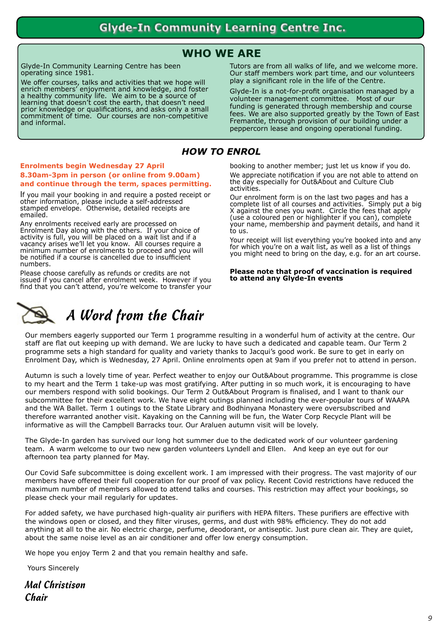# **WHO WE ARE**

Glyde-In Community Learning Centre has been operating since 1981.

We offer courses, talks and activities that we hope will enrich members' enjoyment and knowledge, and foster a healthy community life. We aim to be a source of learning that doesn't cost the earth, that doesn't need prior knowledge or qualifications, and asks only a small commitment of time. Our courses are non-competitive and informal.

Tutors are from all walks of life, and we welcome more. Our staff members work part time, and our volunteers play a significant role in the life of the Centre.

Glyde-In is a not-for-profit organisation managed by a volunteer management committee. Most of our funding is generated through membership and course fees. We are also supported greatly by the Town of East Fremantle, through provision of our building under a peppercorn lease and ongoing operational funding.

## *HOW TO ENROL*

#### **Enrolments begin Wednesday 27 April 8.30am-3pm in person (or online from 9.00am) and continue through the term, spaces permitting.**

If you mail your booking in and require a posted receipt or other information, please include a self-addressed stamped envelope. Otherwise, detailed receipts are emailed.

Any enrolments received early are processed on Enrolment Day along with the others. If your choice of activity is full, you will be placed on a wait list and if a vacancy arises we'll let you know. All courses require a minimum number of enrolments to proceed and you will be notified if a course is cancelled due to insufficient numbers.

Please choose carefully as refunds or credits are not issued if you cancel after enrolment week. However if you find that you can't attend, you're welcome to transfer your booking to another member; just let us know if you do. We appreciate notification if you are not able to attend on the day especially for Out&About and Culture Club activities. Our enrolment form is on the last two pages and has a

complete list of all courses and activities. Simply put a big X against the ones you want. Circle the fees that apply (use a coloured pen or highlighter if you can), complete your name, membership and payment details, and hand it to us.

Your receipt will list everything you're booked into and any for which you're on a wait list, as well as a list of things you might need to bring on the day, e.g. for an art course.

#### **Please note that proof of vaccination is required to attend any Glyde-In events**



# *A Word from the Chair*

Our members eagerly supported our Term 1 programme resulting in a wonderful hum of activity at the centre. Our staff are flat out keeping up with demand. We are lucky to have such a dedicated and capable team. Our Term 2 programme sets a high standard for quality and variety thanks to Jacqui's good work. Be sure to get in early on Enrolment Day, which is Wednesday, 27 April. Online enrolments open at 9am if you prefer not to attend in person.

Autumn is such a lovely time of year. Perfect weather to enjoy our Out&About programme. This programme is close to my heart and the Term 1 take-up was most gratifying. After putting in so much work, it is encouraging to have our members respond with solid bookings. Our Term 2 Out&About Program is finalised, and I want to thank our subcommittee for their excellent work. We have eight outings planned including the ever-popular tours of WAAPA and the WA Ballet. Term 1 outings to the State Library and Bodhinyana Monastery were oversubscribed and therefore warranted another visit. Kayaking on the Canning will be fun, the Water Corp Recycle Plant will be informative as will the Campbell Barracks tour. Our Araluen autumn visit will be lovely.

The Glyde-In garden has survived our long hot summer due to the dedicated work of our volunteer gardening team. A warm welcome to our two new garden volunteers Lyndell and Ellen. And keep an eye out for our afternoon tea party planned for May.

Our Covid Safe subcommittee is doing excellent work. I am impressed with their progress. The vast majority of our members have offered their full cooperation for our proof of vax policy. Recent Covid restrictions have reduced the maximum number of members allowed to attend talks and courses. This restriction may affect your bookings, so please check your mail regularly for updates.

For added safety, we have purchased high-quality air purifiers with HEPA filters. These purifiers are effective with the windows open or closed, and they filter viruses, germs, and dust with 98% efficiency. They do not add anything at all to the air. No electric charge, perfume, deodorant, or antiseptic. Just pure clean air. They are quiet, about the same noise level as an air conditioner and offer low energy consumption.

We hope you enjoy Term 2 and that you remain healthy and safe.

Yours Sincerely

*Mal Christison Chair*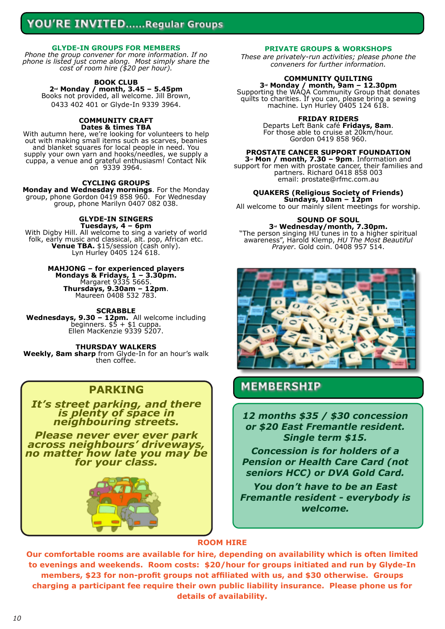# YOU'RE INVITED......Regular Groups

#### **GLYDE-IN GROUPS FOR MEMBERS**

*Phone the group convener for more information. If no phone is listed just come along. Most simply share the cost of room hire (\$20 per hour).*

## **BOOK CLUB**

**2nd Monday / month, 3.45 – 5.45pm** Books not provided, all welcome. Jill Brown, 0433 402 401 or Glyde-In 9339 3964.

#### **COMMUNITY CRAFT Dates & times TBA**

With autumn here, we're looking for volunteers to help out with making small items such as scarves, beanies and blanket squares for local people in need. You supply your own yarn and hooks/needles, we supply a cuppa, a venue and grateful enthusiasm! Contact Nik on 9339 3964.

#### **CYCLING GROUPS**

**Monday and Wednesday mornings**. For the Monday group, phone Gordon 0419 858 960. For Wednesday group, phone Marilyn 0407 082 038.

## **GLYDE-IN SINGERS**

**Tuesdays, 4 – 6pm** With Digby Hill. All welcome to sing a variety of world folk, early music and classical, alt. pop, African etc. **Venue TBA.** \$15/session (cash only). Lyn Hurley 0405 124 618.

#### **MAHJONG – for experienced players**

**Mondays & Fridays, 1 – 3.30pm.** Margaret 9335 5665. **Thursdays, 9.30am – 12pm**. Maureen 0408 532 783.

#### **SCRABBLE**

**Wednesdays, 9.30 – 12pm.** All welcome including beginners. \$5 + \$1 cuppa. Ellen MacKenzie 9339 5207.

**THURSDAY WALKERS**

**Weekly, 8am sharp** from Glyde-In for an hour's walk then coffee.

## **PARKING**

*It's street parking, and there is plenty of space in neighbouring streets.*

*Please never ever ever park across neighbours' driveways, no matter how late you may be for your class.*



#### **PRIVATE GROUPS & WORKSHOPS**

*These are privately-run activities; please phone the conveners for further information.*

## **COMMUNITY QUILTING**

**3rd Monday / month, 9am – 12.30pm** Supporting the WAQA Community Group that donates quilts to charities. If you can, please bring a sewing machine. Lyn Hurley 0405 124 618.

#### **FRIDAY RIDERS**

Departs Left Bank café **Fridays, 8am**. For those able to cruise at 20km/hour. Gordon 0419 858 960.

#### **PROSTATE CANCER SUPPORT FOUNDATION**

**3rd Mon / month, 7.30 – 9pm**. Information and support for men with prostate cancer, their families and partners. Richard 0418 858 003 email: prostate@rfmc.com.au

#### **QUAKERS (Religious Society of Friends)**

**Sundays, 10am – 12pm** All welcome to our mainly silent meetings for worship.

## **SOUND OF SOUL**

**3rd Wednesday/month, 7.30pm.** "The person singing HU tunes in to a higher spiritual awareness", Harold Klemp, *HU The Most Beautiful Prayer*. Gold coin. 0408 957 514.



## **MEMBERSHIP**

*12 months \$35 / \$30 concession or \$20 East Fremantle resident. Single term \$15.*

*Concession is for holders of a Pension or Health Care Card (not seniors HCC) or DVA Gold Card.*

*You don't have to be an East Fremantle resident - everybody is welcome.*

## **ROOM HIRE**

**Our comfortable rooms are available for hire, depending on availability which is often limited to evenings and weekends. Room costs: \$20/hour for groups initiated and run by Glyde-In members, \$23 for non-profit groups not affiliated with us, and \$30 otherwise. Groups charging a participant fee require their own public liability insurance. Please phone us for details of availability.**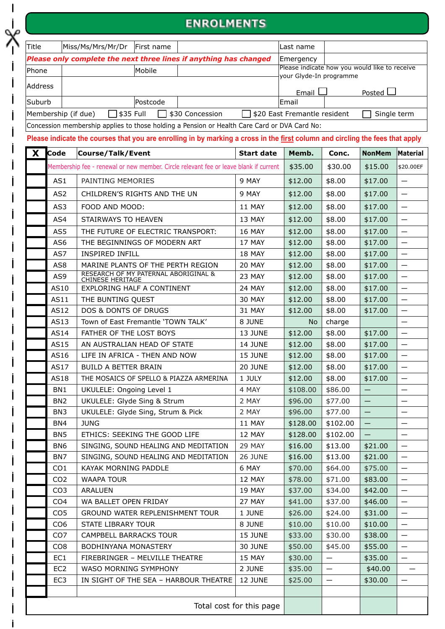# **ENROLMENTS**

| Title          | Miss/Ms/Mrs/Mr/Dr                                                                            | First name |  | Last name                                                                |  |             |  |
|----------------|----------------------------------------------------------------------------------------------|------------|--|--------------------------------------------------------------------------|--|-------------|--|
|                | Please only complete the next three lines if anything has changed                            | Emergency  |  |                                                                          |  |             |  |
| <b>Phone</b>   |                                                                                              | Mobile     |  | Please indicate how you would like to receive<br>vour Glyde-In programme |  |             |  |
| <b>Address</b> |                                                                                              |            |  | Email                                                                    |  | Posted L    |  |
| Suburb         |                                                                                              | lPostcode  |  | <b>Email</b>                                                             |  |             |  |
|                | $\Box$ \$35 Full<br>□ \$20 East Fremantle resident<br>\$30 Concession<br>Membership (if due) |            |  |                                                                          |  | Single term |  |

Concession membership applies to those holding a Pension or Health Care Card or DVA Card No:

**Please indicate the courses that you are enrolling in by marking a cross in the first column and circling the fees that apply**

| X | <b>Code</b>              | Course/Talk/Event                                                                     | <b>Start date</b> | Memb.    | Conc.                    | <b>NonMem</b>     | Material                 |
|---|--------------------------|---------------------------------------------------------------------------------------|-------------------|----------|--------------------------|-------------------|--------------------------|
|   |                          | Membership fee - renewal or new member. Circle relevant fee or leave blank if current |                   | \$35.00  | \$30.00                  | \$15.00           | \$20.00EF                |
|   | AS1                      | PAINTING MEMORIES                                                                     | 9 MAY             | \$12.00  | \$8.00                   | \$17.00           | $\overline{\phantom{m}}$ |
|   | AS <sub>2</sub>          | CHILDREN'S RIGHTS AND THE UN                                                          | 9 MAY             | \$12.00  | \$8.00                   | \$17.00           | $\overline{\phantom{m}}$ |
|   | AS3                      | FOOD AND MOOD:                                                                        | 11 MAY            | \$12.00  | \$8.00                   | \$17.00           | $\overline{\phantom{0}}$ |
|   | AS4                      | STAIRWAYS TO HEAVEN                                                                   | 13 MAY            | \$12.00  | \$8.00                   | \$17.00           |                          |
|   | AS5                      | THE FUTURE OF ELECTRIC TRANSPORT:                                                     | <b>16 MAY</b>     | \$12.00  | \$8.00                   | \$17.00           | $\overline{\phantom{m}}$ |
|   | AS <sub>6</sub>          | THE BEGINNINGS OF MODERN ART                                                          | 17 MAY            | \$12.00  | \$8.00                   | \$17.00           | $\overline{\phantom{0}}$ |
|   | AS7                      | INSPIRED INFILL                                                                       | 18 MAY            | \$12.00  | \$8.00                   | \$17.00           | $\overline{\phantom{m}}$ |
|   | AS <sub>8</sub>          | MARINE PLANTS OF THE PERTH REGION                                                     | 20 MAY            | \$12.00  | \$8.00                   | \$17.00           | $\overline{\phantom{0}}$ |
|   | AS9                      | <b>RESEARCH OF MY PATERNAL ABORIGINAL &amp;</b><br><b>CHINESE HERITAGE</b>            | 23 MAY            | \$12.00  | \$8.00                   | \$17.00           | $\overline{\phantom{m}}$ |
|   | AS10                     | <b>EXPLORING HALF A CONTINENT</b>                                                     | 24 MAY            | \$12.00  | \$8.00                   | \$17.00           | $\overline{\phantom{m}}$ |
|   | AS11                     | THE BUNTING QUEST                                                                     | <b>30 MAY</b>     | \$12.00  | \$8.00                   | \$17.00           | $\overline{\phantom{0}}$ |
|   | AS12                     | <b>DOS &amp; DONTS OF DRUGS</b>                                                       | 31 MAY            | \$12.00  | \$8.00                   | \$17.00           | $\qquad \qquad -$        |
|   | AS13                     | Town of East Fremantle 'TOWN TALK'                                                    | 8 JUNE            | No.      | charge                   |                   |                          |
|   | AS14                     | FATHER OF THE LOST BOYS                                                               | 13 JUNE           | \$12.00  | \$8.00                   | \$17.00           | $\overline{\phantom{0}}$ |
|   | AS15                     | AN AUSTRALIAN HEAD OF STATE                                                           | <b>14 JUNE</b>    | \$12.00  | \$8.00                   | \$17.00           |                          |
|   | AS16                     | LIFE IN AFRICA - THEN AND NOW                                                         | 15 JUNE           | \$12.00  | \$8.00                   | \$17.00           |                          |
|   | AS17                     | <b>BUILD A BETTER BRAIN</b>                                                           | 20 JUNE           | \$12.00  | \$8.00                   | \$17.00           | $\overline{\phantom{0}}$ |
|   | AS18                     | THE MOSAICS OF SPELLO & PIAZZA ARMERINA                                               | 1 JULY            | \$12.00  | \$8.00                   | \$17.00           | $\overline{\phantom{m}}$ |
|   | BN1                      | UKULELE: Ongoing Level 1                                                              | 4 MAY             | \$108.00 | \$86.00                  |                   |                          |
|   | BN <sub>2</sub>          | UKULELE: Glyde Sing & Strum                                                           | 2 MAY             | \$96.00  | \$77.00                  | $\qquad \qquad -$ | —                        |
|   | BN <sub>3</sub>          | UKULELE: Glyde Sing, Strum & Pick                                                     | 2 MAY             | \$96.00  | \$77.00                  |                   |                          |
|   | BN4                      | <b>JUNG</b>                                                                           | 11 MAY            | \$128.00 | \$102.00                 | $\qquad \qquad -$ | $\overline{\phantom{m}}$ |
|   | BN <sub>5</sub>          | ETHICS: SEEKING THE GOOD LIFE                                                         | 12 MAY            | \$128.00 | \$102.00                 |                   | $\overline{\phantom{0}}$ |
|   | BN <sub>6</sub>          | SINGING, SOUND HEALING AND MEDITATION                                                 | 29 MAY            | \$16.00  | \$13.00                  | \$21.00           | $\qquad \qquad -$        |
|   | BN7                      | SINGING, SOUND HEALING AND MEDITATION                                                 | 26 JUNE           | \$16.00  | \$13.00                  | \$21.00           |                          |
|   | CO <sub>1</sub>          | KAYAK MORNING PADDLE                                                                  | 6 MAY             | \$70.00  | \$64.00                  | \$75.00           | $\qquad \qquad -$        |
|   | CO <sub>2</sub>          | <b>WAAPA TOUR</b>                                                                     | 12 MAY            | \$78.00  | \$71.00                  | \$83.00           |                          |
|   | CO <sub>3</sub>          | ARALUEN                                                                               | 19 MAY            | \$37.00  | \$34.00                  | \$42.00           | $\qquad \qquad -$        |
|   | CO <sub>4</sub>          | WA BALLET OPEN FRIDAY                                                                 | 27 MAY            | \$41.00  | \$37.00                  | \$46.00           | —                        |
|   | CO <sub>5</sub>          | <b>GROUND WATER REPLENISHMENT TOUR</b>                                                | 1 JUNE            | \$26.00  | \$24.00                  | \$31.00           | $\qquad \qquad -$        |
|   | CO <sub>6</sub>          | <b>STATE LIBRARY TOUR</b>                                                             | 8 JUNE            | \$10.00  | \$10.00                  | \$10.00           | $\qquad \qquad -$        |
|   | CO <sub>7</sub>          | CAMPBELL BARRACKS TOUR                                                                | 15 JUNE           | \$33.00  | \$30.00                  | \$38.00           | $\overline{\phantom{m}}$ |
|   | CO <sub>8</sub>          | BODHINYANA MONASTERY                                                                  | 30 JUNE           | \$50.00  | \$45.00                  | \$55.00           |                          |
|   | EC1                      | FIREBRINGER - MELVILLE THEATRE                                                        | 15 MAY            | \$30.00  |                          | \$35.00           | $\overline{\phantom{m}}$ |
|   | EC <sub>2</sub>          | WASO MORNING SYMPHONY                                                                 | 2 JUNE            | \$35.00  | $\overline{\phantom{0}}$ | \$40.00           |                          |
|   | EC <sub>3</sub>          | IN SIGHT OF THE SEA - HARBOUR THEATRE                                                 | 12 JUNE           | \$25.00  | $\qquad \qquad -$        | \$30.00           | $\overline{\phantom{0}}$ |
|   |                          |                                                                                       |                   |          |                          |                   |                          |
|   | Total cost for this page |                                                                                       |                   |          |                          |                   |                          |